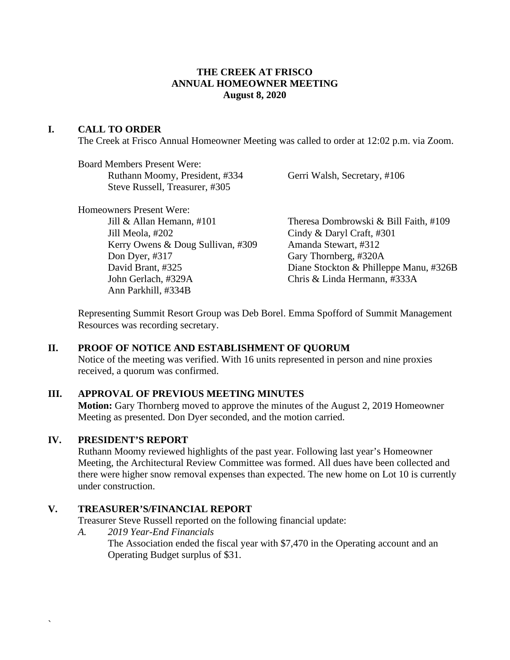### **THE CREEK AT FRISCO ANNUAL HOMEOWNER MEETING August 8, 2020**

#### **I. CALL TO ORDER**

The Creek at Frisco Annual Homeowner Meeting was called to order at 12:02 p.m. via Zoom.

Board Members Present Were: Ruthann Moomy, President, #334 Gerri Walsh, Secretary, #106 Steve Russell, Treasurer, #305

Homeowners Present Were:

Jill Meola, #202 Cindy & Daryl Craft, #301 Kerry Owens & Doug Sullivan, #309 Amanda Stewart, #312 Don Dyer, #317 Gary Thornberg, #320A John Gerlach, #329A Chris & Linda Hermann, #333A Ann Parkhill, #334B

Jill & Allan Hemann, #101 Theresa Dombrowski & Bill Faith, #109 David Brant, #325 Diane Stockton & Philleppe Manu, #326B

Representing Summit Resort Group was Deb Borel. Emma Spofford of Summit Management Resources was recording secretary.

#### **II. PROOF OF NOTICE AND ESTABLISHMENT OF QUORUM**

Notice of the meeting was verified. With 16 units represented in person and nine proxies received, a quorum was confirmed.

# **III. APPROVAL OF PREVIOUS MEETING MINUTES**

**Motion:** Gary Thornberg moved to approve the minutes of the August 2, 2019 Homeowner Meeting as presented. Don Dyer seconded, and the motion carried.

#### **IV. PRESIDENT'S REPORT**

`

Ruthann Moomy reviewed highlights of the past year. Following last year's Homeowner Meeting, the Architectural Review Committee was formed. All dues have been collected and there were higher snow removal expenses than expected. The new home on Lot 10 is currently under construction.

#### **V. TREASURER'S/FINANCIAL REPORT**

Treasurer Steve Russell reported on the following financial update:

*A. 2019 Year-End Financials*

The Association ended the fiscal year with \$7,470 in the Operating account and an Operating Budget surplus of \$31.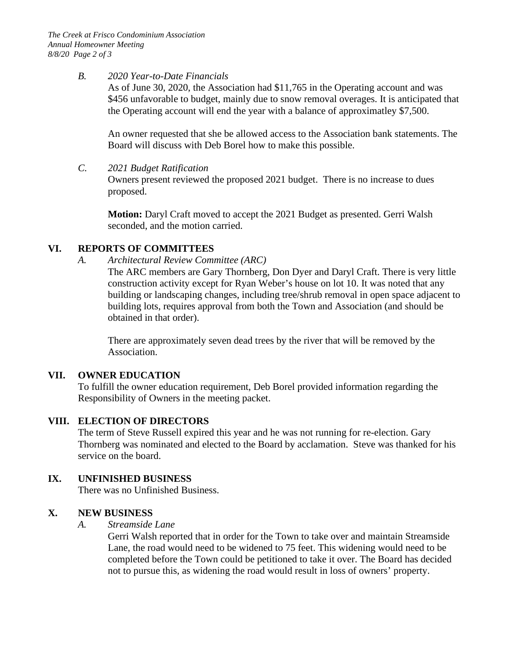#### *B. 2020 Year-to-Date Financials*

As of June 30, 2020, the Association had \$11,765 in the Operating account and was \$456 unfavorable to budget, mainly due to snow removal overages. It is anticipated that the Operating account will end the year with a balance of approximatley \$7,500.

An owner requested that she be allowed access to the Association bank statements. The Board will discuss with Deb Borel how to make this possible.

### *C. 2021 Budget Ratification*

Owners present reviewed the proposed 2021 budget. There is no increase to dues proposed.

**Motion:** Daryl Craft moved to accept the 2021 Budget as presented. Gerri Walsh seconded, and the motion carried.

# **VI. REPORTS OF COMMITTEES**

*A. Architectural Review Committee (ARC)*

The ARC members are Gary Thornberg, Don Dyer and Daryl Craft. There is very little construction activity except for Ryan Weber's house on lot 10. It was noted that any building or landscaping changes, including tree/shrub removal in open space adjacent to building lots, requires approval from both the Town and Association (and should be obtained in that order).

There are approximately seven dead trees by the river that will be removed by the Association.

# **VII. OWNER EDUCATION**

To fulfill the owner education requirement, Deb Borel provided information regarding the Responsibility of Owners in the meeting packet.

# **VIII. ELECTION OF DIRECTORS**

The term of Steve Russell expired this year and he was not running for re-election. Gary Thornberg was nominated and elected to the Board by acclamation. Steve was thanked for his service on the board.

# **IX. UNFINISHED BUSINESS**

There was no Unfinished Business.

# **X. NEW BUSINESS**

# *A. Streamside Lane*

Gerri Walsh reported that in order for the Town to take over and maintain Streamside Lane, the road would need to be widened to 75 feet. This widening would need to be completed before the Town could be petitioned to take it over. The Board has decided not to pursue this, as widening the road would result in loss of owners' property.